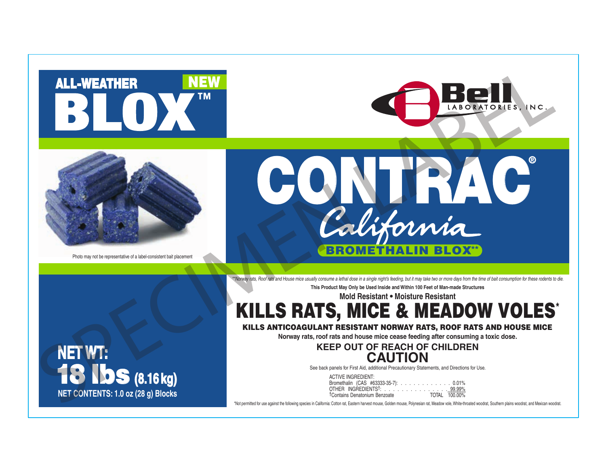





Photo may not be representative of a label-consistent bait placement



*\*\*Norway rats, Roof rats and House mice usually consume a lethal dose in a single night's feeding, but it may take two or more days from the time of bait consumption for these rodents to die.* **This Product May Only be Used Inside and Within 100 Feet of Man-made Structures**

**Mold Resistant • Moisture Resistant**

KILLS RATS, MICE & MEADOW VOLES\*

KILLS ANTICOAGULANT RESISTANT NORWAY RATS, ROOF RATS AND HOUSE MICE

**Norway rats, roof rats and house mice cease feeding after consuming a toxic dose.**

**KEEP OUT OF REACH OF CHILDREN CAUTION**

See back panels for First Aid, additional Precautionary Statements, and Directions for Use.

ACTIVE INGREDIENT: Bromethalin (CAS #63333-35-7): . . . . . . . . . . . . 0.01% OTHER INGREDIENTS†: . . . . . . . . . . . . . . . 99.99% †Contains Denatonium Benzoate TOTAL 100.00%

\*Not permitted for use against the following species in California: Cotton rat, Eastern harvest mouse, Golden mouse, Polynesian rat, Meadow vole, White-throated woodrat, Southern plains woodrat, and Mexican woodrat.

**NET WT:** 18 lbs **(8.16 kg) NET CONTENTS: 1.0 oz (28 g) Blocks**